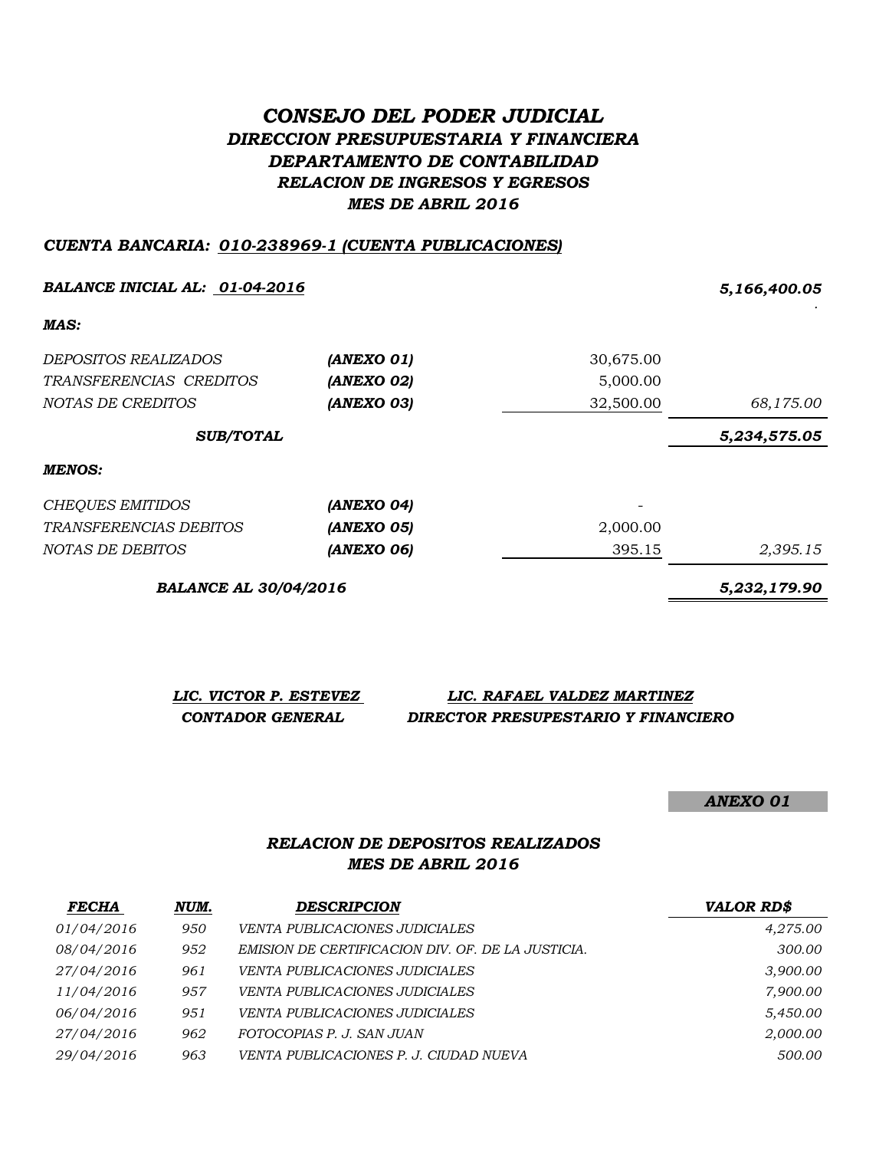# *CONSEJO DEL PODER JUDICIAL DIRECCION PRESUPUESTARIA Y FINANCIERA DEPARTAMENTO DE CONTABILIDAD RELACION DE INGRESOS Y EGRESOS MES DE ABRIL 2016*

#### *CUENTA BANCARIA: 010-238969-1 (CUENTA PUBLICACIONES)*

| <b>BALANCE INICIAL AL: 01-04-2016</b> |            |           | 5,166,400.05 |
|---------------------------------------|------------|-----------|--------------|
| MAS:                                  |            |           |              |
| <i>DEPOSITOS REALIZADOS</i>           | (ANEXO 01) | 30,675.00 |              |
| TRANSFERENCIAS CREDITOS               | (ANEXO 02) | 5,000.00  |              |
| NOTAS DE CREDITOS                     | (ANEXO 03) | 32,500.00 | 68,175.00    |
| <b>SUB/TOTAL</b>                      |            |           | 5,234,575.05 |
| <b>MENOS:</b>                         |            |           |              |
| <b>CHEQUES EMITIDOS</b>               | (ANEXO 04) |           |              |
| TRANSFERENCIAS DEBITOS                | (ANEXO 05) | 2,000.00  |              |
| NOTAS DE DEBITOS                      | (ANEXO 06) | 395.15    | 2,395.15     |
| <b>BALANCE AL 30/04/2016</b>          |            |           | 5,232,179.90 |

| LIC. VICTOR P. ESTEVEZ | LIC. RAFAEL VALDEZ MARTINEZ         |
|------------------------|-------------------------------------|
| CONTADOR GENERAL       | DIRECTOR PRESUPESTARIO Y FINANCIERO |

*ANEXO 01*

### *RELACION DE DEPOSITOS REALIZADOS MES DE ABRIL 2016*

| <b>FECHA</b>      | NUM. | <b>DESCRIPCION</b>                                | <b>VALOR RD\$</b> |
|-------------------|------|---------------------------------------------------|-------------------|
| <i>01/04/2016</i> | 950  | VENTA PUBLICACIONES JUDICIALES                    | 4,275.00          |
| 08/04/2016        | 952  | EMISION DE CERTIFICACION DIV. OF. DE LA JUSTICIA. | 300.00            |
| 27/04/2016        | 961  | VENTA PUBLICACIONES JUDICIALES                    | 3,900.00          |
| 11/04/2016        | 957  | <b>VENTA PUBLICACIONES JUDICIALES</b>             | 7,900.00          |
| 06/04/2016        | 951  | VENTA PUBLICACIONES JUDICIALES                    | 5,450.00          |
| 27/04/2016        | 962  | FOTOCOPIAS P. J. SAN JUAN                         | 2,000.00          |
| 29/04/2016        | 963  | VENTA PUBLICACIONES P. J. CIUDAD NUEVA            | 500.00            |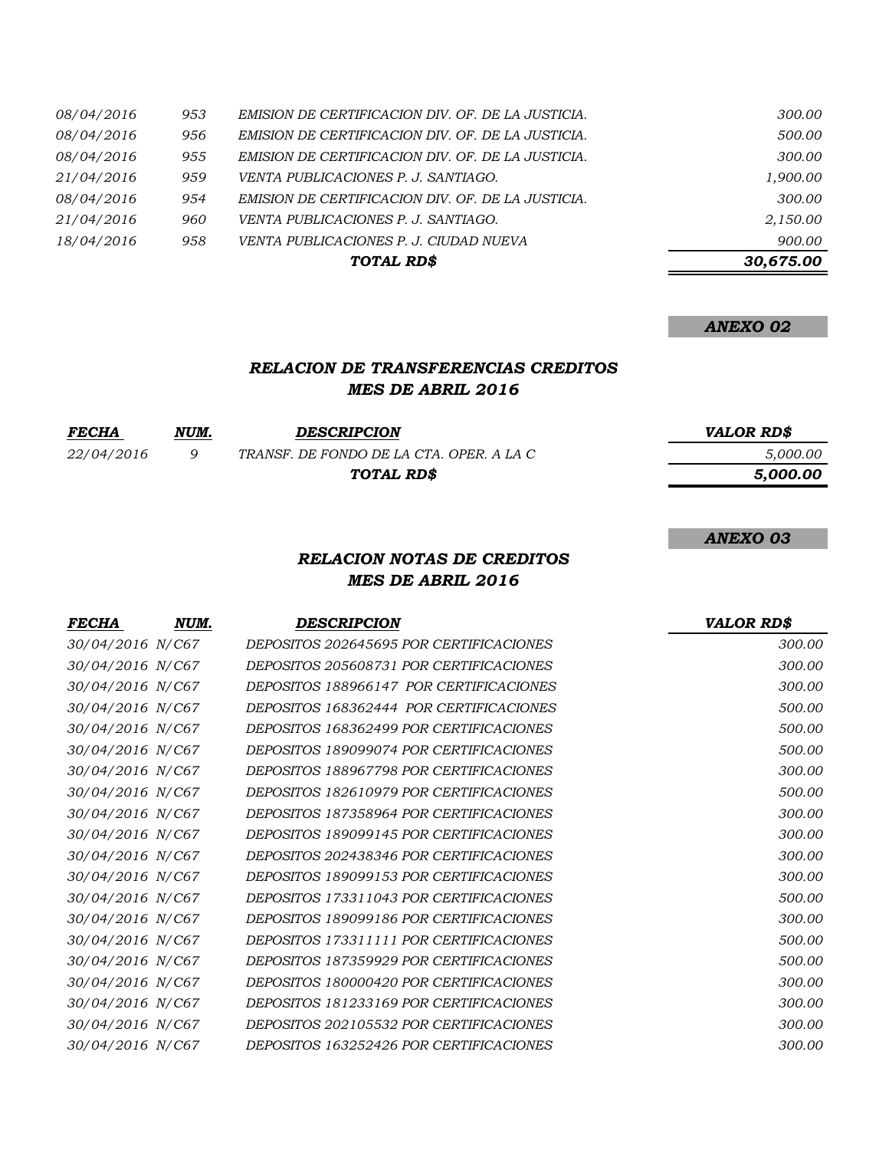| 18/04/2016 | 958 | VENTA PUBLICACIONES P. J. CIUDAD NUEVA            | 900.00   |
|------------|-----|---------------------------------------------------|----------|
| 21/04/2016 | 960 | VENTA PUBLICACIONES P. J. SANTIAGO.               | 2,150.00 |
| 08/04/2016 | 954 | EMISION DE CERTIFICACION DIV. OF. DE LA JUSTICIA. | 300.00   |
| 21/04/2016 | 959 | <i>VENTA PUBLICACIONES P. J. SANTIAGO.</i>        | 1,900.00 |
| 08/04/2016 | 955 | EMISION DE CERTIFICACION DIV. OF. DE LA JUSTICIA. | 300.00   |
| 08/04/2016 | 956 | EMISION DE CERTIFICACION DIV. OF. DE LA JUSTICIA. | 500.00   |
| 08/04/2016 | 953 | EMISION DE CERTIFICACION DIV. OF. DE LA JUSTICIA. | 300.00   |

### *ANEXO 02*

### *RELACION DE TRANSFERENCIAS CREDITOS MES DE ABRIL 2016*

| <i>FECHA</i> | NUM. | <b>DESCRIPCION</b>                       | <b>VALOR RDS</b> |
|--------------|------|------------------------------------------|------------------|
| 22/04/2016   |      | TRANSF. DE FONDO DE LA CTA. OPER. A LA C | 5.000.00         |
|              |      | TOTAL RD\$                               | 5.000.00         |

#### *ANEXO 03*

### *RELACION NOTAS DE CREDITOS MES DE ABRIL 2016*

| NUM.             | <b>DESCRIPCION</b>                      | <b>VALOR RD\$</b> |
|------------------|-----------------------------------------|-------------------|
| 30/04/2016 N/C67 | DEPOSITOS 202645695 POR CERTIFICACIONES | 300.00            |
| 30/04/2016 N/C67 | DEPOSITOS 205608731 POR CERTIFICACIONES | 300.00            |
| 30/04/2016 N/C67 | DEPOSITOS 188966147 POR CERTIFICACIONES | 300.00            |
| 30/04/2016 N/C67 | DEPOSITOS 168362444 POR CERTIFICACIONES | 500.00            |
| 30/04/2016 N/C67 | DEPOSITOS 168362499 POR CERTIFICACIONES | 500.00            |
| 30/04/2016 N/C67 | DEPOSITOS 189099074 POR CERTIFICACIONES | 500.00            |
| 30/04/2016 N/C67 | DEPOSITOS 188967798 POR CERTIFICACIONES | 300.00            |
| 30/04/2016 N/C67 | DEPOSITOS 182610979 POR CERTIFICACIONES | 500.00            |
| 30/04/2016 N/C67 | DEPOSITOS 187358964 POR CERTIFICACIONES | 300.00            |
| 30/04/2016 N/C67 | DEPOSITOS 189099145 POR CERTIFICACIONES | 300.00            |
| 30/04/2016 N/C67 | DEPOSITOS 202438346 POR CERTIFICACIONES | 300.00            |
| 30/04/2016 N/C67 | DEPOSITOS 189099153 POR CERTIFICACIONES | 300.00            |
| 30/04/2016 N/C67 | DEPOSITOS 173311043 POR CERTIFICACIONES | 500.00            |
| 30/04/2016 N/C67 | DEPOSITOS 189099186 POR CERTIFICACIONES | 300.00            |
| 30/04/2016 N/C67 | DEPOSITOS 173311111 POR CERTIFICACIONES | 500.00            |
| 30/04/2016 N/C67 | DEPOSITOS 187359929 POR CERTIFICACIONES | 500.00            |
| 30/04/2016 N/C67 | DEPOSITOS 180000420 POR CERTIFICACIONES | 300.00            |
| 30/04/2016 N/C67 | DEPOSITOS 181233169 POR CERTIFICACIONES | 300.00            |
| 30/04/2016 N/C67 | DEPOSITOS 202105532 POR CERTIFICACIONES | 300.00            |
| 30/04/2016 N/C67 | DEPOSITOS 163252426 POR CERTIFICACIONES | 300.00            |
|                  |                                         |                   |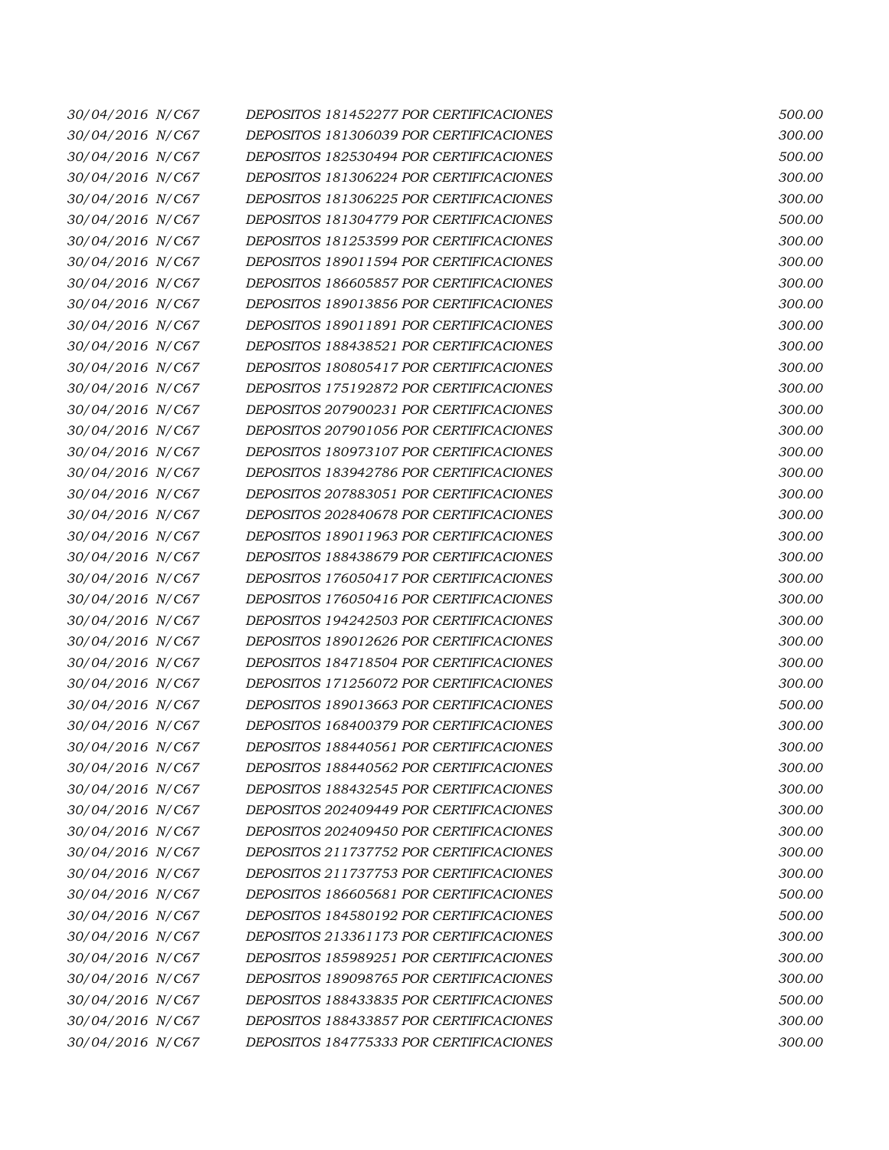| 30/04/2016 N/C67 | DEPOSITOS 181452277 POR CERTIFICACIONES | 500.00 |
|------------------|-----------------------------------------|--------|
| 30/04/2016 N/C67 | DEPOSITOS 181306039 POR CERTIFICACIONES | 300.00 |
| 30/04/2016 N/C67 | DEPOSITOS 182530494 POR CERTIFICACIONES | 500.00 |
| 30/04/2016 N/C67 | DEPOSITOS 181306224 POR CERTIFICACIONES | 300.00 |
| 30/04/2016 N/C67 | DEPOSITOS 181306225 POR CERTIFICACIONES | 300.00 |
| 30/04/2016 N/C67 | DEPOSITOS 181304779 POR CERTIFICACIONES | 500.00 |
| 30/04/2016 N/C67 | DEPOSITOS 181253599 POR CERTIFICACIONES | 300.00 |
| 30/04/2016 N/C67 | DEPOSITOS 189011594 POR CERTIFICACIONES | 300.00 |
| 30/04/2016 N/C67 | DEPOSITOS 186605857 POR CERTIFICACIONES | 300.00 |
| 30/04/2016 N/C67 | DEPOSITOS 189013856 POR CERTIFICACIONES | 300.00 |
| 30/04/2016 N/C67 | DEPOSITOS 189011891 POR CERTIFICACIONES | 300.00 |
| 30/04/2016 N/C67 | DEPOSITOS 188438521 POR CERTIFICACIONES | 300.00 |
| 30/04/2016 N/C67 | DEPOSITOS 180805417 POR CERTIFICACIONES | 300.00 |
| 30/04/2016 N/C67 | DEPOSITOS 175192872 POR CERTIFICACIONES | 300.00 |
| 30/04/2016 N/C67 | DEPOSITOS 207900231 POR CERTIFICACIONES | 300.00 |
| 30/04/2016 N/C67 | DEPOSITOS 207901056 POR CERTIFICACIONES | 300.00 |
| 30/04/2016 N/C67 | DEPOSITOS 180973107 POR CERTIFICACIONES | 300.00 |
| 30/04/2016 N/C67 | DEPOSITOS 183942786 POR CERTIFICACIONES | 300.00 |
| 30/04/2016 N/C67 | DEPOSITOS 207883051 POR CERTIFICACIONES | 300.00 |
| 30/04/2016 N/C67 | DEPOSITOS 202840678 POR CERTIFICACIONES | 300.00 |
| 30/04/2016 N/C67 | DEPOSITOS 189011963 POR CERTIFICACIONES | 300.00 |
| 30/04/2016 N/C67 | DEPOSITOS 188438679 POR CERTIFICACIONES | 300.00 |
| 30/04/2016 N/C67 | DEPOSITOS 176050417 POR CERTIFICACIONES | 300.00 |
| 30/04/2016 N/C67 | DEPOSITOS 176050416 POR CERTIFICACIONES | 300.00 |
| 30/04/2016 N/C67 | DEPOSITOS 194242503 POR CERTIFICACIONES | 300.00 |
| 30/04/2016 N/C67 | DEPOSITOS 189012626 POR CERTIFICACIONES | 300.00 |
| 30/04/2016 N/C67 | DEPOSITOS 184718504 POR CERTIFICACIONES | 300.00 |
| 30/04/2016 N/C67 | DEPOSITOS 171256072 POR CERTIFICACIONES | 300.00 |
| 30/04/2016 N/C67 | DEPOSITOS 189013663 POR CERTIFICACIONES | 500.00 |
| 30/04/2016 N/C67 | DEPOSITOS 168400379 POR CERTIFICACIONES | 300.00 |
| 30/04/2016 N/C67 | DEPOSITOS 188440561 POR CERTIFICACIONES | 300.00 |
| 30/04/2016 N/C67 | DEPOSITOS 188440562 POR CERTIFICACIONES | 300.00 |
| 30/04/2016 N/C67 | DEPOSITOS 188432545 POR CERTIFICACIONES | 300.00 |
| 30/04/2016 N/C67 | DEPOSITOS 202409449 POR CERTIFICACIONES | 300.00 |
| 30/04/2016 N/C67 | DEPOSITOS 202409450 POR CERTIFICACIONES | 300.00 |
| 30/04/2016 N/C67 | DEPOSITOS 211737752 POR CERTIFICACIONES | 300.00 |
| 30/04/2016 N/C67 | DEPOSITOS 211737753 POR CERTIFICACIONES | 300.00 |
| 30/04/2016 N/C67 | DEPOSITOS 186605681 POR CERTIFICACIONES | 500.00 |
| 30/04/2016 N/C67 | DEPOSITOS 184580192 POR CERTIFICACIONES | 500.00 |
| 30/04/2016 N/C67 | DEPOSITOS 213361173 POR CERTIFICACIONES | 300.00 |
| 30/04/2016 N/C67 | DEPOSITOS 185989251 POR CERTIFICACIONES | 300.00 |
| 30/04/2016 N/C67 | DEPOSITOS 189098765 POR CERTIFICACIONES | 300.00 |
| 30/04/2016 N/C67 | DEPOSITOS 188433835 POR CERTIFICACIONES | 500.00 |
| 30/04/2016 N/C67 | DEPOSITOS 188433857 POR CERTIFICACIONES | 300.00 |
| 30/04/2016 N/C67 | DEPOSITOS 184775333 POR CERTIFICACIONES | 300.00 |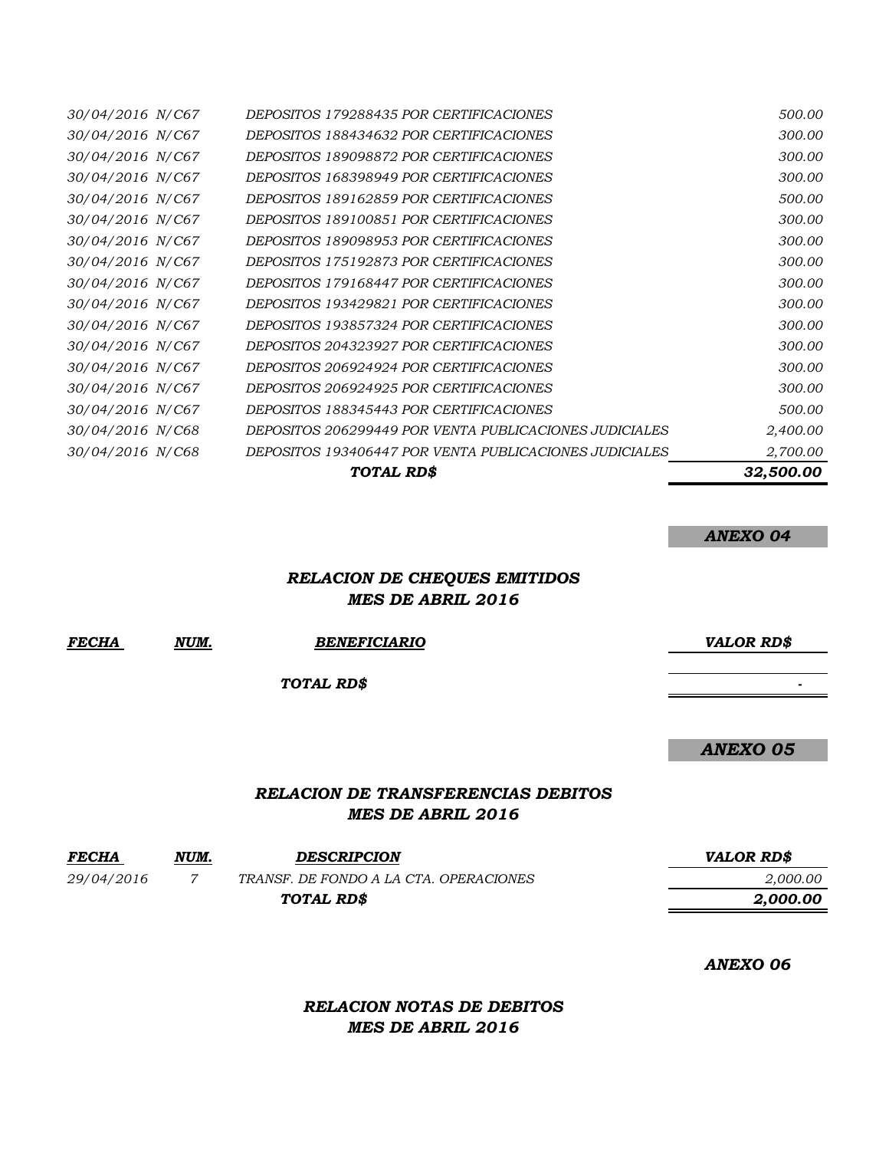|                  | <b>TOTAL RDS</b>                                       | 32,500.00 |
|------------------|--------------------------------------------------------|-----------|
| 30/04/2016 N/C68 | DEPOSITOS 193406447 POR VENTA PUBLICACIONES JUDICIALES | 2,700.00  |
| 30/04/2016 N/C68 | DEPOSITOS 206299449 POR VENTA PUBLICACIONES JUDICIALES | 2,400.00  |
| 30/04/2016 N/C67 | <i>DEPOSITOS 188345443 POR CERTIFICACIONES</i>         | 500.00    |
| 30/04/2016 N/C67 | <i>DEPOSITOS 206924925 POR CERTIFICACIONES</i>         | 300.00    |
| 30/04/2016 N/C67 | <i>DEPOSITOS 206924924 POR CERTIFICACIONES</i>         | 300.00    |
| 30/04/2016 N/C67 | DEPOSITOS 204323927 POR CERTIFICACIONES                | 300.00    |
| 30/04/2016 N/C67 | DEPOSITOS 193857324 POR CERTIFICACIONES                | 300.00    |
| 30/04/2016 N/C67 | DEPOSITOS 193429821 POR CERTIFICACIONES                | 300.00    |
| 30/04/2016 N/C67 | DEPOSITOS 179168447 POR CERTIFICACIONES                | 300.00    |
| 30/04/2016 N/C67 | DEPOSITOS 175192873 POR CERTIFICACIONES                | 300.00    |
| 30/04/2016 N/C67 | DEPOSITOS 189098953 POR CERTIFICACIONES                | 300.00    |
| 30/04/2016 N/C67 | DEPOSITOS 189100851 POR CERTIFICACIONES                | 300.00    |
| 30/04/2016 N/C67 | <i>DEPOSITOS 189162859 POR CERTIFICACIONES</i>         | 500.00    |
| 30/04/2016 N/C67 | <i>DEPOSITOS 168398949 POR CERTIFICACIONES</i>         | 300.00    |
| 30/04/2016 N/C67 | DEPOSITOS 189098872 POR CERTIFICACIONES                | 300.00    |
| 30/04/2016 N/C67 | DEPOSITOS 188434632 POR CERTIFICACIONES                | 300.00    |
| 30/04/2016 N/C67 | <i>DEPOSITOS 179288435 POR CERTIFICACIONES</i>         | 500.00    |

#### *ANEXO 04*

## *RELACION DE CHEQUES EMITIDOS MES DE ABRIL 2016*

| <b>FECHA</b> | NUM. | <b>BENEFICIARIO</b>                                                   | <b>VALOR RD\$</b> |
|--------------|------|-----------------------------------------------------------------------|-------------------|
|              |      | TOTAL RD\$                                                            |                   |
|              |      |                                                                       | <b>ANEXO 05</b>   |
|              |      | <b>RELACION DE TRANSFERENCIAS DEBITOS</b><br><b>MES DE ABRIL 2016</b> |                   |
| <b>FECHA</b> | NUM. | <b>DESCRIPCION</b>                                                    | <b>VALOR RD\$</b> |
| 29/04/2016   | 7    | TRANSF. DE FONDO A LA CTA. OPERACIONES                                | 2,000.00          |
|              |      | TOTAL RD\$                                                            | 2,000.00          |

*ANEXO 06*

*RELACION NOTAS DE DEBITOS MES DE ABRIL 2016*